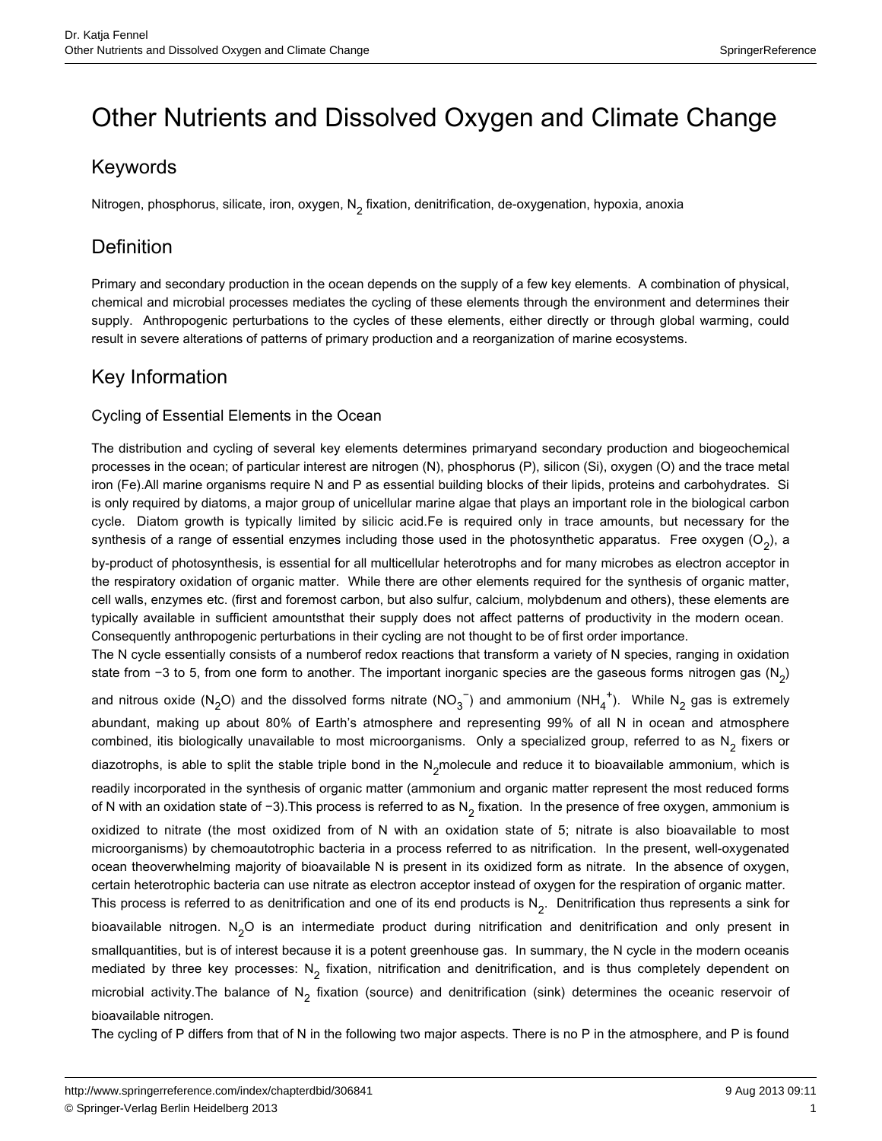# Other Nutrients and Dissolved Oxygen and Climate Change

# Keywords

Nitrogen, phosphorus, silicate, iron, oxygen,  $N_2$  fixation, denitrification, de-oxygenation, hypoxia, anoxia

# Definition

Primary and secondary production in the ocean depends on the supply of a few key elements. A combination of physical, chemical and microbial processes mediates the cycling of these elements through the environment and determines their supply. Anthropogenic perturbations to the cycles of these elements, either directly or through global warming, could result in severe alterations of patterns of primary production and a reorganization of marine ecosystems.

## Key Information

#### Cycling of Essential Elements in the Ocean

The distribution and cycling of several key elements determines primaryand secondary production and biogeochemical processes in the ocean; of particular interest are nitrogen (N), phosphorus (P), silicon (Si), oxygen (O) and the trace metal iron (Fe).All marine organisms require N and P as essential building blocks of their lipids, proteins and carbohydrates. Si is only required by diatoms, a major group of unicellular marine algae that plays an important role in the biological carbon cycle. Diatom growth is typically limited by silicic acid.Fe is required only in trace amounts, but necessary for the synthesis of a range of essential enzymes including those used in the photosynthetic apparatus. Free oxygen  $(O_2)$ , a by-product of photosynthesis, is essential for all multicellular heterotrophs and for many microbes as electron acceptor in the respiratory oxidation of organic matter. While there are other elements required for the synthesis of organic matter, cell walls, enzymes etc. (first and foremost carbon, but also sulfur, calcium, molybdenum and others), these elements are typically available in sufficient amountsthat their supply does not affect patterns of productivity in the modern ocean. Consequently anthropogenic perturbations in their cycling are not thought to be of first order importance.

The N cycle essentially consists of a numberof redox reactions that transform a variety of N species, ranging in oxidation state from −3 to 5, from one form to another. The important inorganic species are the gaseous forms nitrogen gas (N<sub>2</sub>) and nitrous oxide (N<sub>2</sub>O) and the dissolved forms nitrate (NO<sub>3</sub><sup>-</sup>) and ammonium (NH<sub>4</sub><sup>+</sup>). While N<sub>2</sub> gas is extremely 4 + 2 abundant, making up about 80% of Earth's atmosphere and representing 99% of all N in ocean and atmosphere combined, itis biologically unavailable to most microorganisms. Only a specialized group, referred to as  $N_2$  fixers or diazotrophs, is able to split the stable triple bond in the N<sub>2</sub>molecule and reduce it to bioavailable ammonium, which is

readily incorporated in the synthesis of organic matter (ammonium and organic matter represent the most reduced forms of N with an oxidation state of −3). This process is referred to as N<sub>2</sub> fixation. In the presence of free oxygen, ammonium is

oxidized to nitrate (the most oxidized from of N with an oxidation state of 5; nitrate is also bioavailable to most microorganisms) by chemoautotrophic bacteria in a process referred to as nitrification. In the present, well-oxygenated ocean theoverwhelming majority of bioavailable N is present in its oxidized form as nitrate. In the absence of oxygen, certain heterotrophic bacteria can use nitrate as electron acceptor instead of oxygen for the respiration of organic matter.

This process is referred to as denitrification and one of its end products is  $N_2$ . Denitrification thus represents a sink for bioavailable nitrogen. N<sub>2</sub>O is an intermediate product during nitrification and denitrification and only present in smallquantities, but is of interest because it is a potent greenhouse gas. In summary, the N cycle in the modern oceanis mediated by three key processes: N<sub>2</sub> fixation, nitrification and denitrification, and is thus completely dependent on microbial activity. The balance of N<sub>2</sub> fixation (source) and denitrification (sink) determines the oceanic reservoir of bioavailable nitrogen.

The cycling of P differs from that of N in the following two major aspects. There is no P in the atmosphere, and P is found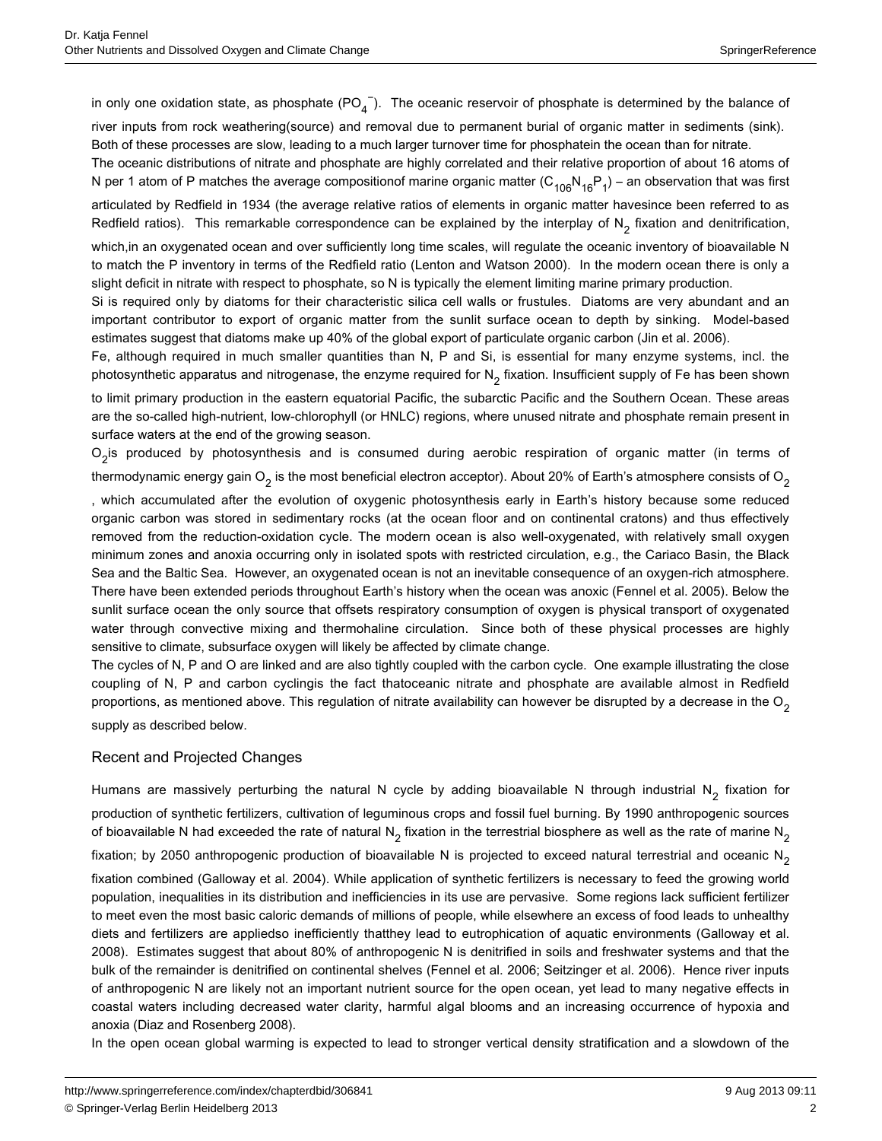in only one oxidation state, as phosphate (PO<sub>4</sub><sup>-</sup>). The oceanic reservoir of phosphate is determined by the balance of river inputs from rock weathering(source) and removal due to permanent burial of organic matter in sediments (sink).

Both of these processes are slow, leading to a much larger turnover time for phosphatein the ocean than for nitrate.

The oceanic distributions of nitrate and phosphate are highly correlated and their relative proportion of about 16 atoms of N per 1 atom of P matches the average compositionof marine organic matter  $(C_{106}N_{16}P_1)$  – an observation that was first articulated by Redfield in 1934 (the average relative ratios of elements in organic matter havesince been referred to as Redfield ratios). This remarkable correspondence can be explained by the interplay of  $N<sub>2</sub>$  fixation and denitrification, which, in an oxygenated ocean and over sufficiently long time scales, will regulate the oceanic inventory of bioavailable N

to match the P inventory in terms of the Redfield ratio (Lenton and Watson 2000). In the modern ocean there is only a slight deficit in nitrate with respect to phosphate, so N is typically the element limiting marine primary production.

Si is required only by diatoms for their characteristic silica cell walls or frustules. Diatoms are very abundant and an important contributor to export of organic matter from the sunlit surface ocean to depth by sinking. Model-based estimates suggest that diatoms make up 40% of the global export of particulate organic carbon (Jin et al. 2006).

Fe, although required in much smaller quantities than N, P and Si, is essential for many enzyme systems, incl. the photosynthetic apparatus and nitrogenase, the enzyme required for  $N_2$  fixation. Insufficient supply of Fe has been shown

to limit primary production in the eastern equatorial Pacific, the subarctic Pacific and the Southern Ocean. These areas are the so-called high-nutrient, low-chlorophyll (or HNLC) regions, where unused nitrate and phosphate remain present in surface waters at the end of the growing season.

 $\rm O_2$ is produced by photosynthesis and is consumed during aerobic respiration of organic matter (in terms of thermodynamic energy gain O<sub>2</sub> is the most beneficial electron acceptor). About 20% of Earth's atmosphere consists of O<sub>2</sub>

, which accumulated after the evolution of oxygenic photosynthesis early in Earth's history because some reduced organic carbon was stored in sedimentary rocks (at the ocean floor and on continental cratons) and thus effectively removed from the reduction-oxidation cycle. The modern ocean is also well-oxygenated, with relatively small oxygen minimum zones and anoxia occurring only in isolated spots with restricted circulation, e.g., the Cariaco Basin, the Black Sea and the Baltic Sea. However, an oxygenated ocean is not an inevitable consequence of an oxygen-rich atmosphere. There have been extended periods throughout Earth's history when the ocean was anoxic (Fennel et al. 2005). Below the sunlit surface ocean the only source that offsets respiratory consumption of oxygen is physical transport of oxygenated water through convective mixing and thermohaline circulation. Since both of these physical processes are highly sensitive to climate, subsurface oxygen will likely be affected by climate change.

The cycles of N, P and O are linked and are also tightly coupled with the carbon cycle. One example illustrating the close coupling of N, P and carbon cyclingis the fact thatoceanic nitrate and phosphate are available almost in Redfield proportions, as mentioned above. This regulation of nitrate availability can however be disrupted by a decrease in the  $O_2$ supply as described below.

#### Recent and Projected Changes

Humans are massively perturbing the natural N cycle by adding bioavailable N through industrial N<sub>2</sub> fixation for production of synthetic fertilizers, cultivation of leguminous crops and fossil fuel burning. By 1990 anthropogenic sources of bioavailable N had exceeded the rate of natural N<sub>2</sub> fixation in the terrestrial biosphere as well as the rate of marine N<sub>2</sub>

fixation; by 2050 anthropogenic production of bioavailable N is projected to exceed natural terrestrial and oceanic N<sub>2</sub>

fixation combined (Galloway et al. 2004). While application of synthetic fertilizers is necessary to feed the growing world population, inequalities in its distribution and inefficiencies in its use are pervasive. Some regions lack sufficient fertilizer to meet even the most basic caloric demands of millions of people, while elsewhere an excess of food leads to unhealthy diets and fertilizers are appliedso inefficiently thatthey lead to eutrophication of aquatic environments (Galloway et al. 2008). Estimates suggest that about 80% of anthropogenic N is denitrified in soils and freshwater systems and that the bulk of the remainder is denitrified on continental shelves (Fennel et al. 2006; Seitzinger et al. 2006). Hence river inputs of anthropogenic N are likely not an important nutrient source for the open ocean, yet lead to many negative effects in coastal waters including decreased water clarity, harmful algal blooms and an increasing occurrence of hypoxia and anoxia (Diaz and Rosenberg 2008).

In the open ocean global warming is expected to lead to stronger vertical density stratification and a slowdown of the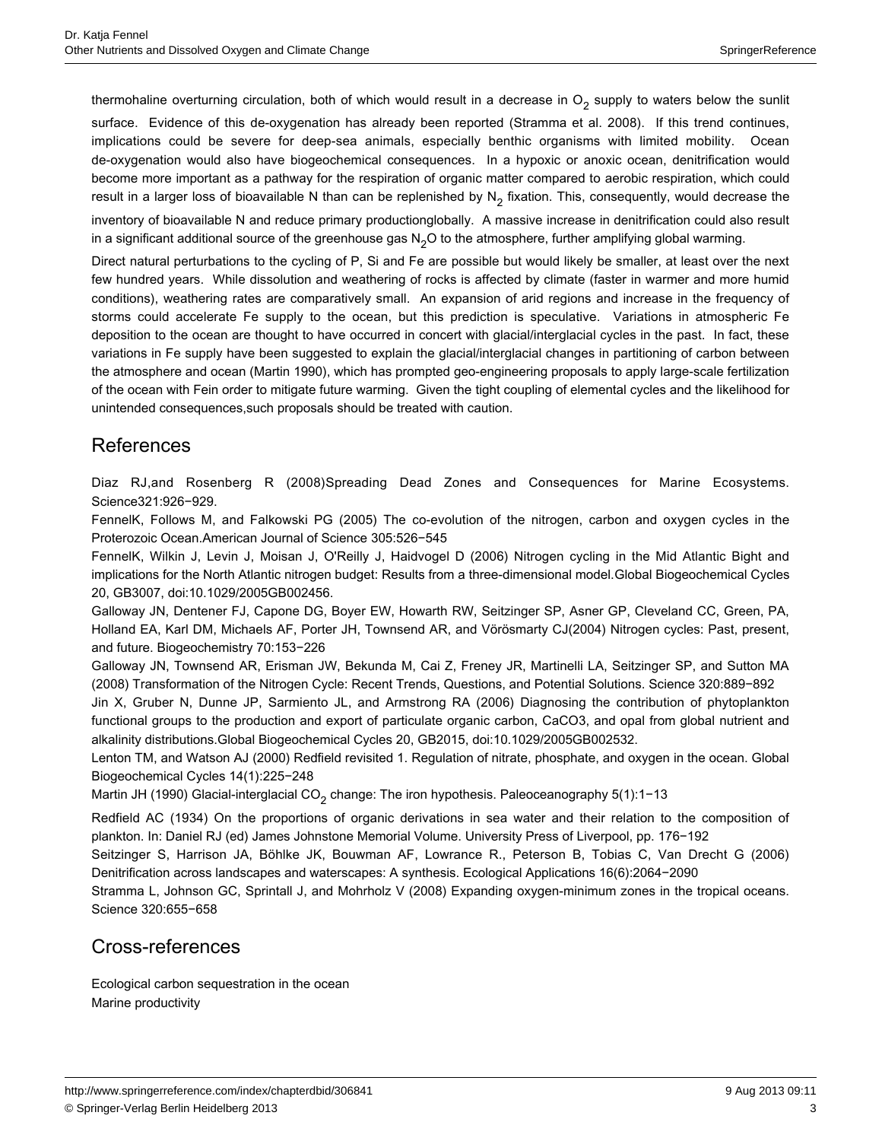thermohaline overturning circulation, both of which would result in a decrease in  $O_2$  supply to waters below the sunlit

surface. Evidence of this de-oxygenation has already been reported (Stramma et al. 2008). If this trend continues, implications could be severe for deep-sea animals, especially benthic organisms with limited mobility. Ocean de-oxygenation would also have biogeochemical consequences. In a hypoxic or anoxic ocean, denitrification would become more important as a pathway for the respiration of organic matter compared to aerobic respiration, which could result in a larger loss of bioavailable N than can be replenished by  $N<sub>2</sub>$  fixation. This, consequently, would decrease the

inventory of bioavailable N and reduce primary productionglobally. A massive increase in denitrification could also result in a significant additional source of the greenhouse gas  $N<sub>2</sub>O$  to the atmosphere, further amplifying global warming.

Direct natural perturbations to the cycling of P, Si and Fe are possible but would likely be smaller, at least over the next few hundred years. While dissolution and weathering of rocks is affected by climate (faster in warmer and more humid conditions), weathering rates are comparatively small. An expansion of arid regions and increase in the frequency of storms could accelerate Fe supply to the ocean, but this prediction is speculative. Variations in atmospheric Fe deposition to the ocean are thought to have occurred in concert with glacial/interglacial cycles in the past. In fact, these variations in Fe supply have been suggested to explain the glacial/interglacial changes in partitioning of carbon between the atmosphere and ocean (Martin 1990), which has prompted geo-engineering proposals to apply large-scale fertilization of the ocean with Fein order to mitigate future warming. Given the tight coupling of elemental cycles and the likelihood for unintended consequences,such proposals should be treated with caution.

# References

Diaz RJ,and Rosenberg R (2008)Spreading Dead Zones and Consequences for Marine Ecosystems. Science321:926−929.

FennelK, Follows M, and Falkowski PG (2005) The co-evolution of the nitrogen, carbon and oxygen cycles in the Proterozoic Ocean.American Journal of Science 305:526−545

FennelK, Wilkin J, Levin J, Moisan J, O'Reilly J, Haidvogel D (2006) Nitrogen cycling in the Mid Atlantic Bight and implications for the North Atlantic nitrogen budget: Results from a three-dimensional model.Global Biogeochemical Cycles 20, GB3007, doi:10.1029/2005GB002456.

Galloway JN, Dentener FJ, Capone DG, Boyer EW, Howarth RW, Seitzinger SP, Asner GP, Cleveland CC, Green, PA, Holland EA, Karl DM, Michaels AF, Porter JH, Townsend AR, and Vörösmarty CJ(2004) Nitrogen cycles: Past, present, and future. Biogeochemistry 70:153−226

Galloway JN, Townsend AR, Erisman JW, Bekunda M, Cai Z, Freney JR, Martinelli LA, Seitzinger SP, and Sutton MA (2008) Transformation of the Nitrogen Cycle: Recent Trends, Questions, and Potential Solutions. Science 320:889−892

Jin X, Gruber N, Dunne JP, Sarmiento JL, and Armstrong RA (2006) Diagnosing the contribution of phytoplankton functional groups to the production and export of particulate organic carbon, CaCO3, and opal from global nutrient and alkalinity distributions.Global Biogeochemical Cycles 20, GB2015, doi:10.1029/2005GB002532.

Lenton TM, and Watson AJ (2000) Redfield revisited 1. Regulation of nitrate, phosphate, and oxygen in the ocean. Global Biogeochemical Cycles 14(1):225−248

Martin JH (1990) Glacial-interglacial CO<sub>2</sub> change: The iron hypothesis. Paleoceanography 5(1):1−13

Redfield AC (1934) On the proportions of organic derivations in sea water and their relation to the composition of plankton. In: Daniel RJ (ed) James Johnstone Memorial Volume. University Press of Liverpool, pp. 176−192

Seitzinger S, Harrison JA, Böhlke JK, Bouwman AF, Lowrance R., Peterson B, Tobias C, Van Drecht G (2006) Denitrification across landscapes and waterscapes: A synthesis. Ecological Applications 16(6):2064−2090

Stramma L, Johnson GC, Sprintall J, and Mohrholz V (2008) Expanding oxygen-minimum zones in the tropical oceans. Science 320:655−658

### Cross-references

Ecological carbon sequestration in the ocean Marine productivity